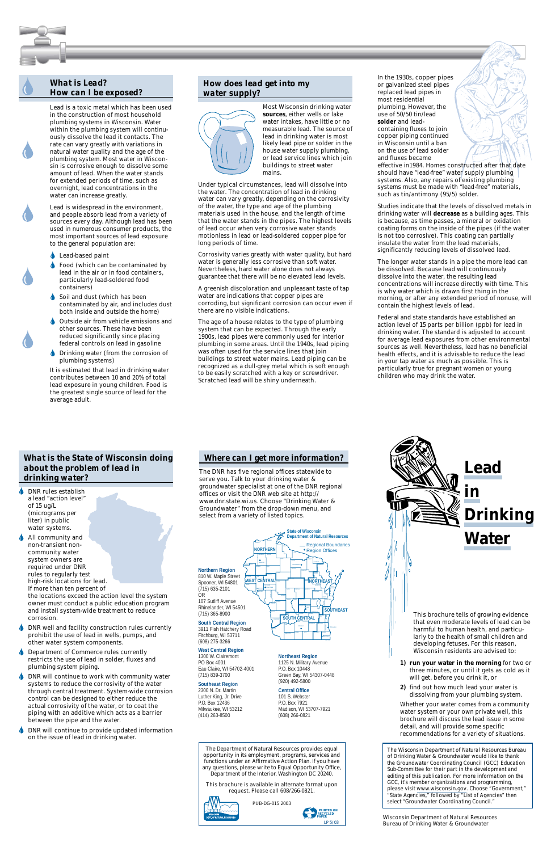# *What is Lead? How can I be exposed?*

 *PRINTED ON RECYCLED*

Bureau of Drinking Water & Groundwater



harmful to human health, and particularly to the health of small children and developing fetuses. For this reason, Wisconsin residents are advised to:

- **1) run your water in the morning** for two or three minutes, or until it gets as cold as it will get, before you drink it, or
- **2)** find out how much lead your water is dissolving from your plumbing system.

Whether your water comes from a community water system or your own private well, this brochure will discuss the lead issue in some detail, and will provide some specific recommendations for a variety of situations.

*The Wisconsin Department of Natural Resources Bureau of Drinking Water & Groundwater would like to thank the Groundwater Coordinating Council (GCC) Education Sub-Committee for their part in the development and editing of this publication. For more information on the GCC, it's member organizations and programming, please visit* www.wisconsin.gov*. Choose "Government," "State Agencies," followed by "List of Agencies" then select "Groundwater Coordinating Council."*

**Wisconsin Department of Natural Resources** 

- **Lead-based paint**
- **Food (which can be contaminated by** lead in the air or in food containers, particularly lead-soldered food containers)
- Soil and dust (which has been contaminated by air, and includes dust both inside and outside the home)
- Outside air from vehicle emissions and other sources. These have been reduced significantly since placing federal controls on lead in gasoline
- **IDrinking water (from the corrosion of** plumbing systems)

Lead is a toxic metal which has been used in the construction of most household plumbing systems in Wisconsin. Water within the plumbing system will continuously dissolve the lead it contacts. The rate can vary greatly with variations in natural water quality and the age of the plumbing system. Most water in Wisconsin is corrosive enough to dissolve some amount of lead. When the water stands for extended periods of time, such as overnight, lead concentrations in the water can increase greatly.

Lead is widespread in the environment, and people absorb lead from a variety of sources every day. Although lead has been used in numerous consumer products, the most important sources of lead exposure to the general population are:

It is estimated that lead in drinking water contributes between 10 and 20% of total lead exposure in young children. Food is the greatest single source of lead for the average adult.

## *How does lead get into my water supply?*



Most Wisconsin drinking water **sources**, either wells or lake water intakes, have little or no measurable lead. The source of lead in drinking water is most likely lead pipe or solder in the house water supply plumbing, or lead service lines which join buildings to street water mains.

Under typical circumstances, lead will dissolve into the water. The concentration of lead in drinking water can vary greatly, depending on the corrosivity of the water, the type and age of the plumbing materials used in the house, and the length of time that the water stands in the pipes. The highest levels of lead occur when very corrosive water stands motionless in lead or lead-soldered copper pipe for long periods of time.

Corrosivity varies greatly with water quality, but hard water is generally less corrosive than soft water. Nevertheless, hard water alone does not always guarantee that there will be no elevated lead levels.

A greenish discoloration and unpleasant taste of tap water are indications that copper pipes are corroding, but significant corrosion can occur even if there are no visible indications.

 $\bullet$ All community and non-transient noncommunity water system owners are required under DNR rules to regularly test high-risk locations for lead. If more than ten percent of The age of a house relates to the type of plumbing system that can be expected. Through the early 1900s, lead pipes were commonly used for interior plumbing in some areas. Until the 1940s, lead piping was often used for the service lines that join buildings to street water mains. Lead piping can be recognized as a dull-grey metal which is soft enough to be easily scratched with a key or screwdriver. Scratched lead will be shiny underneath.

In the 1930s, copper pipes or galvanized steel pipes replaced lead pipes in most residential plumbing. However, the use of 50/50 tin/lead **solder** and leadcontaining fluxes to join copper piping continued in Wisconsin until a ban on the use of lead solder and fluxes became

- **ODNR** well and facility construction rules currently prohibit the use of lead in wells, pumps, and other water system components.
- Department of Commerce rules currently restricts the use of lead in solder, fluxes and plumbing system piping.
- DNR will continue to work with community water  $\bullet$ systems to reduce the corrosivity of the water through central treatment. System-wide corrosion control can be designed to either reduce the actual corrosivity of the water, or to coat the piping with an additive which acts as a barrier between the pipe and the water.
- $\bullet$ DNR will continue to provide updated information on the issue of lead in drinking water.

effective in1984. Homes constructed after that date should have "lead-free" water supply plumbing systems. Also, any repairs of existing plumbing systems must be made with "lead-free" materials, such as tin/antimony (95/5) solder.

Studies indicate that the levels of dissolved metals in drinking water will **decrease** as a building ages. This is because, as time passes, a mineral or oxidation coating forms on the inside of the pipes (if the water is not too corrosive). This coating can partially insulate the water from the lead materials, significantly reducing levels of dissolved lead.

The longer water stands in a pipe the more lead can be dissolved. Because lead will continuously dissolve into the water, the resulting lead concentrations will increase directly with time. This is why water which is drawn first thing in the morning, or after any extended period of nonuse, will contain the highest levels of lead.

Federal and state standards have established an action level of 15 parts per billion (ppb) for lead in drinking water. The standard is adjusted to account for average lead exposures from other environmental sources as well. Nevertheless, lead has no beneficial health effects, and it is advisable to reduce the lead in your tap water as much as possible. This is particularly true for pregnant women or young children who may drink the water.

The Department of Natural Resources provides equal opportunity in its employment, programs, services and functions under an Affirmative Action Plan. If you have any questions, please write to Equal Opportunity Office, Department of the Interior, Washington DC 20240.

This brochure is available in alternate format upon request. Please call 608/266-0821.



PUB-DG-015 2003

*LP 5/03*

## *Where can I get more information?*

The DNR has five regional offices statewide to serve you. Talk to your drinking water & groundwater specialist at one of the DNR regional offices or visit the DNR web site at http:// www.dnr.state.wi.us. Choose "Drinking Water & Groundwater" from the drop-down menu, and select from a variety of listed topics.

### **Northeast Region**

1125 N. Military Avenue P.O. Box 10448 Green Bay, WI 54307-0448 (920) 492-5800

#### **Central Office**

101 S. Webster P.O. Box 7921 Madison, WI 53707-7921 (608) 266-0821

MILWAUKEE GREEN ROCK WALWORTH RACINE Madison

# *What is the State of Wisconsin doing about the problem of lead in drinking water?*

DNR rules establish a lead "action level" of 15 ug/L (micrograms per liter) in public water systems.



the locations exceed the action level the system owner must conduct a public education program and install system-wide treatment to reduce corrosion.

> 3911 Fish Hatchery Road Fitchburg, WI 53711 (608) 275-3266

#### **West Central Region**

1300 W. Clairemont PO Box 4001 Eau Claire, WI 54702-4001 (715) 839-3700

#### **Southeast Region** 2300 N. Dr. Martin Luther King, Jr. Drive P.O. Box 12436 Milwaukee, WI 53212 (414) 263-8500